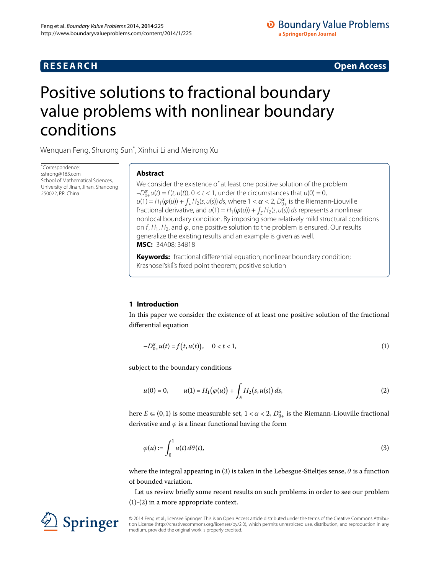## **R E S E A R C H Open Access**

# <span id="page-0-0"></span>Positive solutions to fractional boundary value problems with nonlinear boundary conditions

Wenquan Feng, Shurong Sun[\\*](#page-0-0) , Xinhui Li and Meirong Xu

\* Correspondence: [sshrong@163.com](mailto:sshrong@163.com) School of Mathematical Sciences, University of Jinan, Jinan, Shandong 250022, P.R. China

## **Abstract**

We consider the existence of at least one positive solution of the problem  $-D_{0+}^{\alpha}u(t) = f(t, u(t)), 0 < t < 1$ , under the circumstances that  $u(0) = 0$ ,  $u(1) = H_1(\varphi(u)) + \int_E H_2(s, u(s)) ds$ , where  $1 < \alpha < 2$ ,  $D_{0+}^{\alpha}$  is the Riemann-Liouville fractional derivative, and  $u(1) = H_1(\varphi(u)) + \int_E H_2(s, u(s)) ds$  represents a nonlinear nonlocal boundary condition. By imposing some relatively mild structural conditions on  $f$ ,  $H_1$ ,  $H_2$ , and  $\varphi$ , one positive solution to the problem is ensured. Our results generalize the existing results and an example is given as well. **MSC:** 34A08; 34B18

<span id="page-0-2"></span>**Keywords:** fractional differential equation; nonlinear boundary condition; Krasnosel'skii's fixed point theorem; positive solution

## **1 Introduction**

In this paper we consider the existence of at least one positive solution of the fractional differential equation

<span id="page-0-3"></span>
$$
-D_{0+}^{\alpha}u(t) = f(t, u(t)), \quad 0 < t < 1,
$$
\n(1)

subject to the boundary conditions

<span id="page-0-1"></span>
$$
u(0) = 0, \qquad u(1) = H_1(\varphi(u)) + \int_E H_2(s, u(s)) ds,
$$
 (2)

here  $E \Subset (0,1)$  is some measurable set,  $1 < \alpha < 2$ ,  $D_{0+}^{\alpha}$  is the Riemann-Liouville fractional derivative and  $\varphi$  is a linear functional having the form

$$
\varphi(u) := \int_0^1 u(t) \, d\theta(t),\tag{3}
$$

where the integral appearing in (3[\)](#page-0-1) is taken in the Lebesgue-Stieltjes sense,  $\theta$  is a function of bounded variation.

Let us review briefly some recent results on such problems in order to see our problem  $(1)-(2)$  $(1)-(2)$  $(1)-(2)$  in a more appropriate context.

© 2014 Feng et al.; licensee Springer. This is an Open Access article distributed under the terms of the Creative Commons Attribution License (http://creativecommons.org/licenses/by/2.0), which permits unrestricted use, distribution, and reproduction in any medium, provided the original work is properly credited.

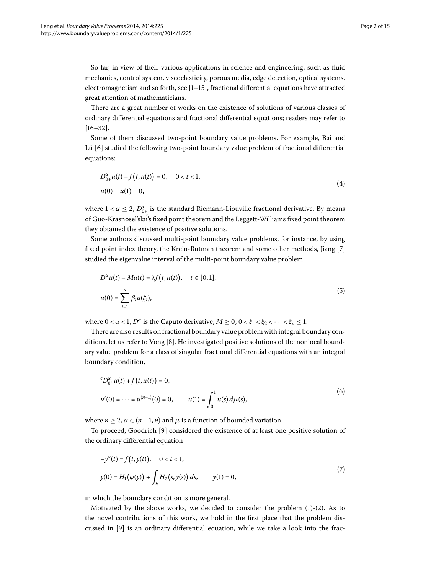So far, in view of their various applications in science and engineering, such as fluid mechanics, control system, viscoelasticity, porous media, edge detection, optical systems, electromagnetism and so forth, see  $[1-15]$  $[1-15]$ , fractional differential equations have attracted great attention of mathematicians.

There are a great number of works on the existence of solutions of various classes of ordinary differential equations and fractional differential equations; readers may refer to  $[16-32]$  $[16-32]$ .

Some of them discussed two-point boundary value problems. For example, Bai and Lü [\[](#page-14-4)6] studied the following two-point boundary value problem of fractional differential equations:

$$
D_{0+}^{\alpha}u(t) + f(t, u(t)) = 0, \quad 0 < t < 1,
$$
  

$$
u(0) = u(1) = 0,
$$
 (4)

where  $1 < \alpha \leq 2$ ,  $D^{\alpha}_{0+}$  is the standard Riemann-Liouville fractional derivative. By means of Guo-Krasnosel'skii's fixed point theorem and the Leggett-Williams fixed point theorem they obtained the existence of positive solutions.

Some authors discussed multi-point boundary value problems, for instance, by using fixed point index theory, the Krein-Rutman theorem and some other methods, Jiang [\[](#page-14-5)7] studied the eigenvalue interval of the multi-point boundary value problem

$$
D^{\alpha}u(t) - Mu(t) = \lambda f(t, u(t)), \quad t \in [0, 1],
$$
  

$$
u(0) = \sum_{i=1}^{n} \beta_i u(\xi_i),
$$
 (5)

where  $0 < \alpha < 1$ ,  $D^{\alpha}$  is the Caputo derivative,  $M \ge 0$ ,  $0 < \xi_1 < \xi_2 < \cdots < \xi_n \le 1$ .

There are also results on fractional boundary value problem with integral boundary conditions, let us refer to Vong [8]. He investigated positive solutions of the nonlocal boundary value problem for a class of singular fractional differential equations with an integral boundary condition,

$$
{}^{c}D_{0^{+}}^{\alpha}u(t) + f(t, u(t)) = 0,
$$
  
\n
$$
u'(0) = \dots = u^{(n-1)}(0) = 0, \qquad u(1) = \int_{0}^{1} u(s) d\mu(s),
$$
\n(6)

where  $n \ge 2$ ,  $\alpha \in (n-1, n)$  and  $\mu$  is a function of bounded variation.

To proceed, Goodrich [9[\]](#page-14-7) considered the existence of at least one positive solution of the ordinary differential equation

$$
-y''(t) = f(t, y(t)), \quad 0 < t < 1,
$$
  
\n
$$
y(0) = H_1(\varphi(y)) + \int_E H_2(s, y(s)) ds, \qquad y(1) = 0,
$$
\n(7)

in which the boundary condition is more general.

Motivated by the above works, we decided to consider the problem  $(1)-(2)$  $(1)-(2)$ . As to the novel contributions of this work, we hold in the first place that the problem discussed in  $[9]$  is an ordinary differential equation, while we take a look into the frac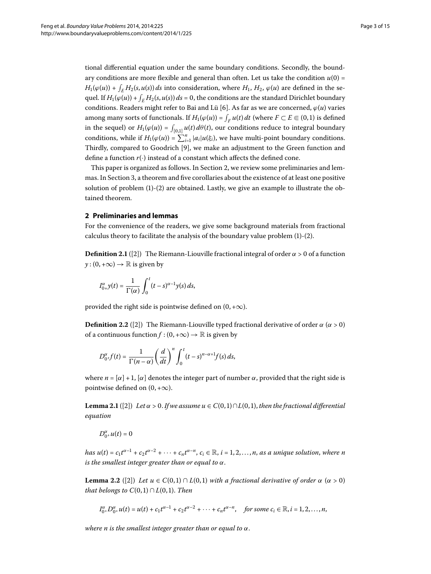tional differential equation under the same boundary conditions. Secondly, the boundary conditions are more flexible and general than often. Let us take the condition  $u(0)$  =  $H_1(\varphi(u)) + \int_E H_2(s, u(s)) ds$  into consideration, where  $H_1$ ,  $H_2$ ,  $\varphi(u)$  are defined in the sequel. If  $H_1(\varphi(u)) + \int_E H_2(s, u(s)) ds = 0$ , the conditions are the standard Dirichlet boundary conditions. Readers might refer to Bai and Lü [\[](#page-14-4)6]. As far as we are concerned,  $\varphi(u)$  varies among many sorts of functionals. If  $H_1(\varphi(u)) = \int_F u(t) dt$  (where  $F \subset E \Subset (0,1)$  is defined in the sequel) or  $H_1(\varphi(u)) = \int_{[0,1]} u(t) \, d\theta(t)$ , our conditions reduce to integral boundary conditions, while if  $H_1(\varphi(u)) = \sum_{i=1}^n |a_i| u(\xi_i)$ , we have multi-point boundary conditions. Thirdly, compared to Goodrich [9[\]](#page-14-7), we make an adjustment to the Green function and define a function *r*(·) instead of a constant which affects the defined cone.

<span id="page-2-0"></span>This paper is organized as follows. In Section 2[,](#page-2-0) we review some preliminaries and lemmas. In Section 3, a theorem and five corollaries about the existence of at least one positive solution of problem  $(1)-(2)$  $(1)-(2)$  $(1)-(2)$  are obtained. Lastly, we give an example to illustrate the obtained theorem.

### **2 Preliminaries and lemmas**

For the convenience of the readers, we give some background materials from fractional calculus theory to facilitate the analysis of the boundary value problem  $(1)-(2)$  $(1)-(2)$  $(1)-(2)$ .

**Definition 2.1** ([\[](#page-14-8)2]) The Riemann-Liouville fractional integral of order  $\alpha > 0$  of a function  $y:(0, +\infty) \to \mathbb{R}$  is given by

$$
I_{0+}^{\alpha}y(t)=\frac{1}{\Gamma(\alpha)}\int_{0}^{t}(t-s)^{\alpha-1}y(s)\,ds,
$$

provided the right side is pointwise defined on  $(0, +\infty)$ .

**Definition 2.2** ([\[](#page-14-8)2]) The Riemann-Liouville typed fractional derivative of order  $\alpha$  ( $\alpha$  > 0) of a continuous function  $f:(0, +\infty) \to \mathbb{R}$  is given by

$$
D_{0+}^{\alpha}f(t)=\frac{1}{\Gamma(n-\alpha)}\bigg(\frac{d}{dt}\bigg)^n\int_0^t(t-s)^{n-\alpha+1}f(s)\,ds,
$$

where  $n = [\alpha] + 1$ ,  $[\alpha]$  denotes the integer part of number  $\alpha$ , provided that the right side is pointwise defined on  $(0, +\infty)$ .

<span id="page-2-1"></span>**Lemma 2.1** ([2[\]](#page-14-8)) Let  $\alpha > 0$ . If we assume  $u \in C(0,1) \cap L(0,1)$ , then the fractional differential *equation*

$$
D_{0^+}^\alpha u(t)=0
$$

*has*  $u(t) = c_1 t^{\alpha-1} + c_2 t^{\alpha-2} + \cdots + c_n t^{\alpha-n}, c_i \in \mathbb{R}, i = 1, 2, \ldots, n$ , *as a unique solution*, *where n is the smallest integer greater than or equal to α*.

**Lemma 2.2** ([\[](#page-14-8)2]) *Let*  $u \in C(0,1) \cap L(0,1)$  *with a fractional derivative of order*  $\alpha$  ( $\alpha > 0$ ) *that belongs to*  $C(0,1) \cap L(0,1)$ *. Then* 

$$
I_{0+}^{\alpha}D_{0+}^{\alpha}u(t) = u(t) + c_1t^{\alpha-1} + c_2t^{\alpha-2} + \cdots + c_nt^{\alpha-n}, \quad \text{for some } c_i \in \mathbb{R}, i = 1, 2, \ldots, n,
$$

*where n is the smallest integer greater than or equal to α*.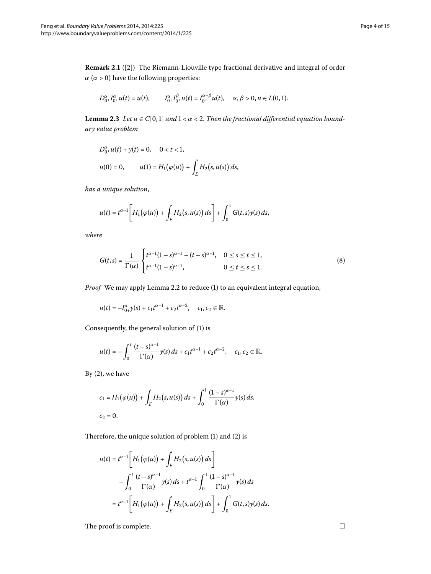**Remark 2.1** ([\[](#page-14-8)2]) The Riemann-Liouville type fractional derivative and integral of order  $\alpha$  ( $\alpha$  > 0) have the following properties:

$$
D_{0^+}^{\alpha}I_{0^+}^{\alpha}u(t) = u(t), \qquad I_{0^+}^{\alpha}I_{0^+}^{\beta}u(t) = I_{0^+}^{\alpha+\beta}u(t), \quad \alpha, \beta > 0, u \in L(0,1).
$$

**Lemma 2.3** Let  $u \in C[0,1]$  and  $1 < \alpha < 2$ . Then the fractional differential equation bound*ary value problem*

$$
D_{0+}^{\alpha}u(t) + y(t) = 0, \quad 0 < t < 1,
$$
  

$$
u(0) = 0, \quad u(1) = H_1(\varphi(u)) + \int_E H_2(s, u(s)) ds,
$$

*has a unique solution*,

<span id="page-3-0"></span>
$$
u(t) = t^{\alpha-1} \bigg[ H_1(\varphi(u)) + \int_E H_2(s, u(s)) \, ds \bigg] + \int_0^1 G(t, s) y(s) \, ds,
$$

*where*

$$
G(t,s) = \frac{1}{\Gamma(\alpha)} \begin{cases} t^{\alpha-1}(1-s)^{\alpha-1} - (t-s)^{\alpha-1}, & 0 \le s \le t \le 1, \\ t^{\alpha-1}(1-s)^{\alpha-1}, & 0 \le t \le s \le 1. \end{cases}
$$
 (8)

*Proof* We may apply Lemma 2[.](#page-2-1)2 to reduce (1[\)](#page-0-2) to an equivalent integral equation,

$$
u(t) = -I_{0+}^{\alpha}y(s) + c_1t^{\alpha-1} + c_2t^{\alpha-2}, \quad c_1, c_2 \in \mathbb{R}.
$$

Consequently, the general solution of (1[\)](#page-0-2) is

$$
u(t) = -\int_0^t \frac{(t-s)^{\alpha-1}}{\Gamma(\alpha)} y(s) \, ds + c_1 t^{\alpha-1} + c_2 t^{\alpha-2}, \quad c_1, c_2 \in \mathbb{R}.
$$

By  $(2)$  $(2)$ , we have

$$
c_1 = H_1(\varphi(u)) + \int_E H_2(s, u(s)) ds + \int_0^1 \frac{(1-s)^{\alpha-1}}{\Gamma(\alpha)} y(s) ds,
$$
  

$$
c_2 = 0.
$$

Therefore, the unique solution of problem  $(1)$  $(1)$  and  $(2)$  is

$$
u(t) = t^{\alpha-1} \left[ H_1(\varphi(u)) + \int_E H_2(s, u(s)) ds \right]
$$
  

$$
- \int_0^t \frac{(t-s)^{\alpha-1}}{\Gamma(\alpha)} y(s) ds + t^{\alpha-1} \int_0^1 \frac{(1-s)^{\alpha-1}}{\Gamma(\alpha)} y(s) ds
$$
  

$$
= t^{\alpha-1} \left[ H_1(\varphi(u)) + \int_E H_2(s, u(s)) ds \right] + \int_0^1 G(t, s) y(s) ds.
$$

The proof is complete.  $\hfill \Box$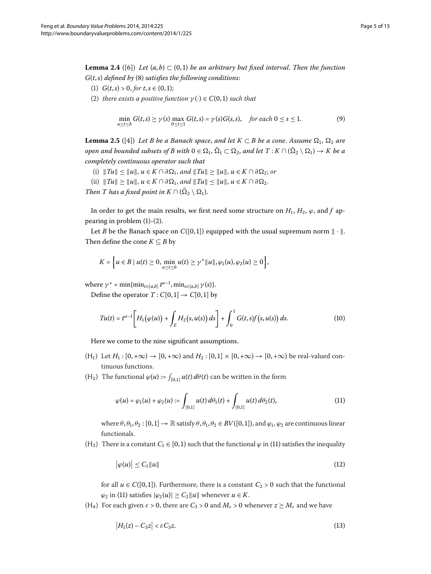<span id="page-4-2"></span>**Lemma 2.4** ([6]) Let  $(a, b) \subset (0, 1)$  be an arbitrary but fixed interval. Then the function  $G(t, s)$  $G(t, s)$  *defined by* (8) *satisfies the following conditions*:

- (1)  $G(t,s) > 0$ , for  $t, s \in (0,1)$ ;
- (2) *there exists a positive function*  $\gamma(\cdot) \in C(0,1)$  *such that*

$$
\min_{a \le t \le b} G(t,s) \ge \gamma(s) \max_{0 \le t \le 1} G(t,s) = \gamma(s)G(s,s), \quad \text{for each } 0 \le s \le 1. \tag{9}
$$

**Lemma 2.5** ([4]) Let B be a Banach space, and let  $K \subset B$  be a cone. Assume  $\Omega_1$ ,  $\Omega_2$  are  $p$  *open and bounded subsets of B with*  $0 \in \Omega_1$ ,  $\Omega_1 \subset \Omega_2$ , and let  $T$  :  $K \cap (\Omega_2 \setminus \Omega_1) \to K$  be a *completely continuous operator such that*

- (i)  $||Tu|| \le ||u||$ , *u*∈ *K* ∩ ∂Ω<sub>1</sub>, and  $||Tu|| \ge ||u||$ , *u*∈ *K* ∩ ∂Ω<sub>2</sub>; or
- $\|Tu\| \ge \|u\|, u \in K \cap \partial \Omega_1, \text{ and } \|Tu\| \le \|u\|, u \in K \cap \partial \Omega_2.$
- *Then T has a fixed point in*  $K \cap (\Omega_2 \setminus \Omega_1)$ .

In order to get the main results, we first need some structure on  $H_1$ ,  $H_2$ ,  $\varphi$ , and  $f$  appearing in problem  $(1)-(2)$  $(1)-(2)$ .

Let *B* be the Banach space on  $C([0,1])$  equipped with the usual supremum norm  $\|\cdot\|$ . Then define the cone  $K \subseteq B$  by

<span id="page-4-1"></span>
$$
K = \left\{ u \in B \mid u(t) \geq 0, \min_{a \leq t \leq b} u(t) \geq \gamma^* ||u||, \varphi_1(u), \varphi_2(u) \geq 0 \right\},\
$$

where  $\gamma^* = \min\{\min_{t \in [a,b]} t^{\alpha-1}, \min_{s \in [a,b]} \gamma(s)\}.$ 

Define the operator  $T : C[0,1] \rightarrow C[0,1]$  by

$$
Tu(t) = t^{\alpha - 1} \bigg[ H_1(\varphi(u)) + \int_E H_2(s, u(s)) ds \bigg] + \int_0^1 G(t, s) f(s, u(s)) ds.
$$
 (10)

Here we come to the nine significant assumptions.

- $(H_1)$  Let  $H_1$ :  $[0, +\infty) \to [0, +\infty)$  and  $H_2$ :  $[0, 1] \times [0, +\infty) \to [0, +\infty)$  be real-valued continuous functions.
- $(H_2)$  The functional  $\varphi(u) := \int_{[0,1]} u(t) \, d\theta(t)$  can be written in the form

<span id="page-4-0"></span>
$$
\varphi(u) = \varphi_1(u) + \varphi_2(u) := \int_{[0,1]} u(t) d\theta_1(t) + \int_{[0,1]} u(t) d\theta_2(t), \tag{11}
$$

where  $\theta$ ,  $\theta_1$ ,  $\theta_2$ :  $[0,1] \rightarrow \mathbb{R}$  satisfy  $\theta$ ,  $\theta_1$ ,  $\theta_2 \in BV([0,1])$ , and  $\varphi_1$ ,  $\varphi_2$  are continuous linear functionals.

(H<sub>3</sub>[\)](#page-4-0) There is a constant  $C_1 \in [0, 1)$  such that the functional  $\varphi$  in (11) satisfies the inequality

$$
\big|\varphi(u)\big|\leq C_1\|u\|\tag{12}
$$

for all  $u \in C([0,1])$ . Furthermore, there is a constant  $C_2 > 0$  such that the functional  $\varphi_2$  in [\(](#page-4-0)11) satisfies  $|\varphi_2(u)| \ge C_2 ||u||$  whenever  $u \in K$ .

(H<sub>4</sub>) For each given  $\varepsilon > 0$ , there are  $C_3 > 0$  and  $M_{\varepsilon} > 0$  whenever  $z \ge M_{\varepsilon}$  and we have

$$
\left|H_1(z) - C_3 z\right| < \varepsilon C_3 z. \tag{13}
$$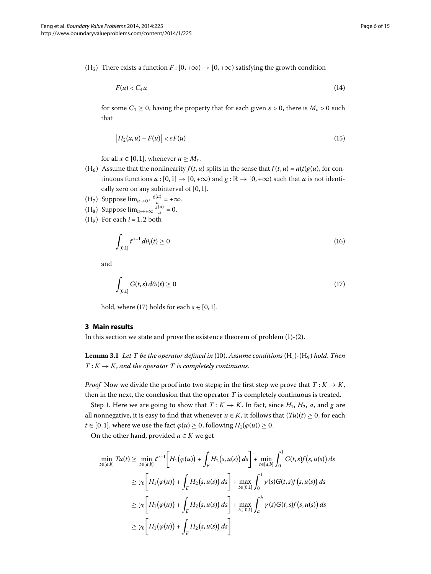(H<sub>5</sub>) There exists a function  $F : [0, +\infty) \rightarrow [0, +\infty)$  satisfying the growth condition

$$
F(u) < C_4 u \tag{14}
$$

for some  $C_4 \geq 0$ , having the property that for each given  $\varepsilon > 0$ , there is  $M_{\varepsilon} > 0$  such that

$$
\big|H_2(x,u)-F(u)\big|<\varepsilon F(u)\tag{15}
$$

for all  $x \in [0, 1]$ , whenever  $u \geq M_{\varepsilon}$ .

- $(H<sub>6</sub>)$  Assume that the nonlinearity  $f(t, u)$  splits in the sense that  $f(t, u) = a(t)g(u)$ , for continuous functions  $a : [0, 1] \rightarrow [0, +\infty)$  and  $g : \mathbb{R} \rightarrow [0, +\infty)$  such that *a* is not identically zero on any subinterval of  $[0, 1]$ .
- (H<sub>7</sub>) Suppose  $\lim_{u\to 0^+} \frac{g(u)}{u} = +\infty$ .
- (H<sub>8</sub>) Suppose  $\lim_{u \to +\infty} \frac{g(u)}{u} = 0$ .
- <span id="page-5-0"></span> $(H<sub>9</sub>)$  For each  $i = 1, 2$  both

<span id="page-5-1"></span>
$$
\int_{[0,1]} t^{\alpha-1} d\theta_i(t) \ge 0
$$
\n(16)

and

$$
\int_{[0,1]} G(t,s) d\theta_i(t) \ge 0
$$
\n(17)

<span id="page-5-2"></span>hold, where [\(](#page-5-1)17) holds for each  $s \in [0, 1]$ .

## **3 Main results**

In this section we state and prove the existence theorem of problem  $(1)-(2)$  $(1)-(2)$ .

**Lemma 3.1** Let T be the operator defined in (10[\)](#page-4-1). Assume conditions  $(H_1)$ - $(H_9)$  hold. Then  $T: K \to K$ , and the operator  $T$  is completely continuous.

*Proof* Now we divide the proof into two steps; in the first step we prove that  $T: K \to K$ , then in the next, the conclusion that the operator *T* is completely continuous is treated.

Step 1. Here we are going to show that  $T: K \to K$ . In fact, since  $H_1$ ,  $H_2$ ,  $a$ , and  $g$  are all nonnegative, it is easy to find that whenever  $u \in K$ , it follows that  $(Tu)(t) \ge 0$ , for each  $t \in [0, 1]$ , where we use the fact  $\varphi(u) \geq 0$ , following  $H_1(\varphi(u)) \geq 0$ .

On the other hand, provided  $u \in K$  we get

$$
\min_{t \in [a,b]} Tu(t) \ge \min_{t \in [a,b]} t^{\alpha-1} \Bigg[ H_1(\varphi(u)) + \int_E H_2(s, u(s)) ds \Bigg] + \min_{t \in [a,b]} \int_0^1 G(t,s)f(s, u(s)) ds
$$
  
\n
$$
\ge \gamma_0 \Bigg[ H_1(\varphi(u)) + \int_E H_2(s, u(s)) ds \Bigg] + \max_{t \in [0,1]} \int_0^1 \gamma(s)G(t,s)f(s, u(s)) ds
$$
  
\n
$$
\ge \gamma_0 \Bigg[ H_1(\varphi(u)) + \int_E H_2(s, u(s)) ds \Bigg] + \max_{t \in [0,1]} \int_a^b \gamma(s)G(t,s)f(s, u(s)) ds
$$
  
\n
$$
\ge \gamma_0 \Bigg[ H_1(\varphi(u)) + \int_E H_2(s, u(s)) ds \Bigg]
$$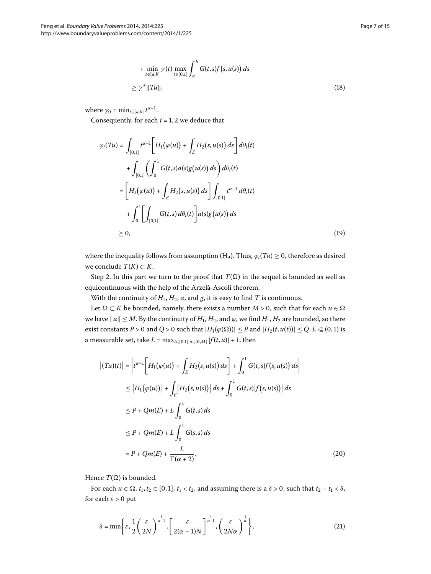$$
+ \min_{t \in [a,b]} \gamma(t) \max_{t \in [0,1]} \int_a^b G(t,s)f(s,u(s)) ds
$$
  
\n
$$
\geq \gamma^* ||Tu||,
$$
\n(18)

where  $\gamma_0 = \min_{t \in [a,b]} t^{\alpha-1}$ .

Consequently, for each  $i = 1, 2$  we deduce that

$$
\varphi_i(Tu) = \int_{[0,1]} t^{\alpha-1} \Bigg[ H_1(\varphi(u)) + \int_E H_2(s, u(s)) ds \Bigg] d\theta_i(t)
$$
  
+ 
$$
\int_{[0,1]} \Biggl( \int_0^1 G(t, s) a(s) g(u(s)) ds \Biggr) d\theta_i(t)
$$
  
= 
$$
\Bigg[ H_1(\varphi(u)) + \int_E H_2(s, u(s)) ds \Bigg] \int_{[0,1]} t^{\alpha-1} d\theta_i(t)
$$
  
+ 
$$
\int_0^1 \Biggl[ \int_{[0,1]} G(t, s) d\theta_i(t) \Biggr] a(s) g(u(s)) ds
$$
  

$$
\geq 0,
$$
 (19)

where the inequality follows from assumption (H<sub>9</sub>). Thus,  $\varphi_i(Tu) \geq 0$ , therefore as desired we conclude  $T(K) \subset K$ .

Step 2. In this part we turn to the proof that  $T(\Omega)$  in the sequel is bounded as well as equicontinuous with the help of the Arzelà-Ascoli theorem.

With the continuity of  $H_1$ ,  $H_2$ ,  $a$ , and  $g$ , it is easy to find  $T$  is continuous.

Let  $\Omega \subset K$  be bounded, namely, there exists a number  $M > 0$ , such that for each  $u \in \Omega$ we have  $||u|| \leq M$ . By the continuity of  $H_1, H_2$ , and  $\varphi$ , we find  $H_1, H_2$  are bounded, so there exist constants  $P > 0$  and  $Q > 0$  such that  $|H_1(\varphi(\Omega))| \leq P$  and  $|H_2(t, u(t))| \leq Q$ .  $E \in (0, 1)$  is a measurable set, take  $L = \max_{t \in [0,1], u \in [0,M]} |f(t, u)| + 1$ , then

$$
\begin{aligned}\n|\left(Tu\right)(t)\right| &= \left| t^{\alpha-1} \left[ H_1(\varphi(u)) + \int_E H_2(s, u(s)) \, ds \right] + \int_0^1 G(t, s) f(s, u(s)) \, ds \right| \\
&\le \left| H_1(\varphi(u)) \right| + \int_E \left| H_2(s, u(s)) \right| \, ds + \int_0^1 G(t, s) \left| f(s, u(s)) \right| \, ds \\
&\le P + Qm(E) + L \int_0^1 G(t, s) \, ds \\
&\le P + Qm(E) + L \int_0^1 G(s, s) \, ds \\
&= P + Qm(E) + \frac{L}{\Gamma(\alpha + 2)}.\n\end{aligned} \tag{20}
$$

Hence  $T(\Omega)$  is bounded.

For each  $u \in \Omega$ ,  $t_1, t_2 \in [0, 1]$ ,  $t_1 < t_2$ , and assuming there is a  $\delta > 0$ , such that  $t_2 - t_1 < \delta$ , for each  $\varepsilon > 0$  put

$$
\delta = \min\left\{\varepsilon, \frac{1}{2}\left(\frac{\varepsilon}{2N}\right)^{\frac{1}{\alpha-1}}, \left[\frac{\varepsilon}{2(\alpha-1)N}\right]^{\frac{1}{\alpha-1}}, \left(\frac{\varepsilon}{2N\alpha}\right)^{\frac{1}{\alpha}}\right\},\tag{21}
$$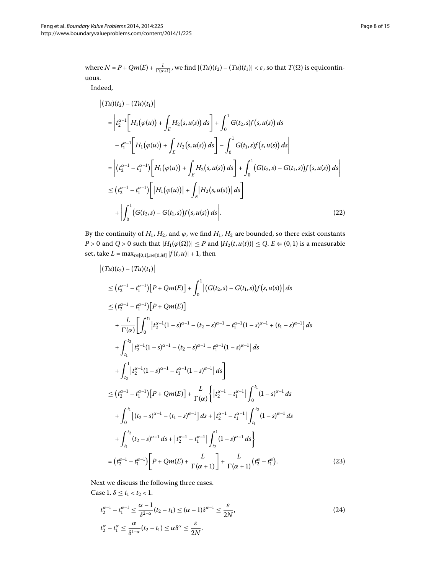where 
$$
N = P + Qm(E) + \frac{L}{\Gamma(\alpha+1)}
$$
, we find  $|(Tu)(t_2) - (Tu)(t_1)| < \varepsilon$ , so that  $T(\Omega)$  is equicontin-  
uous.

Indeed,

$$
\begin{split}\n\left| (Tu)(t_2) - (Tu)(t_1) \right| \\
&= \left| t_2^{\alpha-1} \left[ H_1(\varphi(u)) + \int_E H_2(s, u(s)) \, ds \right] + \int_0^1 G(t_2, s) f(s, u(s)) \, ds \right. \\
&\left. - t_1^{\alpha-1} \left[ H_1(\varphi(u)) + \int_E H_2(s, u(s)) \, ds \right] - \int_0^1 G(t_1, s) f(s, u(s)) \, ds \right| \\
&= \left| (t_2^{\alpha-1} - t_1^{\alpha-1}) \left[ H_1(\varphi(u)) + \int_E H_2(s, u(s)) \, ds \right] + \int_0^1 (G(t_2, s) - G(t_1, s)) f(s, u(s)) \, ds \right| \\
&\leq (t_2^{\alpha-1} - t_1^{\alpha-1}) \left[ |H_1(\varphi(u))| + \int_E |H_2(s, u(s))| \, ds \right] \\
&+ \left| \int_0^1 (G(t_2, s) - G(t_1, s)) f(s, u(s)) \, ds \right].\n\end{split} \tag{22}
$$

By the continuity of  $H_1$ ,  $H_2$ , and  $\varphi$ , we find  $H_1$ ,  $H_2$  are bounded, so there exist constants *P* > 0 and *Q* > 0 such that  $|H_1(\varphi(\Omega))| \leq P$  and  $|H_2(t, u(t))| \leq Q$ .  $E \in (0, 1)$  is a measurable set, take  $L = \max_{t \in [0,1], u \in [0,M]} |f(t, u)| + 1$ , then

$$
\begin{split}\n\left|\left(Tu\right)(t_{2}\right)-\left(Tu\right)(t_{1})\right| \\
&\leq \left(t_{2}^{\alpha-1}-t_{1}^{\alpha-1}\right)\left[P+Qm(E)\right]+\int_{0}^{1}\left|\left(G(t_{2},s)-G(t_{1},s)\right)f(s,u(s)\right|\,ds \\
&\leq \left(t_{2}^{\alpha-1}-t_{1}^{\alpha-1}\right)\left[P+Qm(E)\right] \\
&+\frac{L}{\Gamma(\alpha)}\left[\int_{0}^{t_{1}}\left|t_{2}^{\alpha-1}(1-s)^{\alpha-1}-(t_{2}-s)^{\alpha-1}-t_{1}^{\alpha-1}(1-s)^{\alpha-1}+(t_{1}-s)^{\alpha-1}\right|\,ds \\
&+\int_{t_{1}}^{t_{2}}\left|t_{2}^{\alpha-1}(1-s)^{\alpha-1}-(t_{2}-s)^{\alpha-1}-t_{1}^{\alpha-1}(1-s)^{\alpha-1}\right|\,ds \\
&+\int_{t_{2}}^{1}\left|t_{2}^{\alpha-1}(1-s)^{\alpha-1}-t_{1}^{\alpha-1}(1-s)^{\alpha-1}\right|\,ds\right] \\
&\leq \left(t_{2}^{\alpha-1}-t_{1}^{\alpha-1}\right)\left[P+Qm(E)\right]+\frac{L}{\Gamma(\alpha)}\left\{\left|t_{2}^{\alpha-1}-t_{1}^{\alpha-1}\right|\int_{0}^{t_{1}}(1-s)^{\alpha-1}\,ds \\
&+\int_{0}^{t_{1}}\left[(t_{2}-s)^{\alpha-1}-(t_{1}-s)^{\alpha-1}\right]ds+\left|t_{2}^{\alpha-1}-t_{1}^{\alpha-1}\right|\int_{t_{1}}^{t_{2}}(1-s)^{\alpha-1}\,ds \\
&+\int_{t_{1}}^{t_{2}}\left(t_{2}-s)^{\alpha-1}\,ds+\left|t_{2}^{\alpha-1}-t_{1}^{\alpha-1}\right|\int_{t_{2}}^{1}(1-s)^{\alpha-1}\,ds\right| \\
&=\left(t_{2}^{\alpha-1}-t_{1}^{\alpha-1}\right)\left[P+Qm(E)+\frac{L}{\Gamma(\alpha+1)}\right]+\frac{L}{\Gamma(\alpha+1)}\left(t_{2}^{\alpha}-t_{1}^{\alpha}\right). \end{split} \tag{23}
$$

Next we discuss the following three cases. Case 1.  $\delta \le t_1 < t_2 < 1$ .

$$
t_2^{\alpha-1} - t_1^{\alpha-1} \le \frac{\alpha-1}{\delta^{2-\alpha}} (t_2 - t_1) \le (\alpha - 1)\delta^{\alpha-1} \le \frac{\varepsilon}{2N},
$$
  
\n
$$
t_2^{\alpha} - t_1^{\alpha} \le \frac{\alpha}{\delta^{1-\alpha}} (t_2 - t_1) \le \alpha \delta^{\alpha} \le \frac{\varepsilon}{2N}.
$$
\n(24)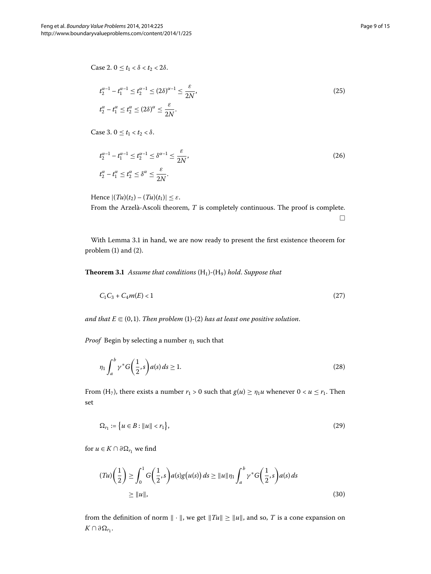$Case 2. 0 \le t_1 < \delta < t_2 < 2\delta.$ 

$$
t_2^{\alpha - 1} - t_1^{\alpha - 1} \le t_2^{\alpha - 1} \le (2\delta)^{\alpha - 1} \le \frac{\varepsilon}{2N},
$$
  
\n
$$
t_2^{\alpha} - t_1^{\alpha} \le t_2^{\alpha} \le (2\delta)^{\alpha} \le \frac{\varepsilon}{2N}.
$$
\n(25)

 $\text{Case 3. } 0 \leq t_1 < t_2 < \delta.$ 

$$
t_2^{\alpha-1} - t_1^{\alpha-1} \le t_2^{\alpha-1} \le \delta^{\alpha-1} \le \frac{\varepsilon}{2N},
$$
  
\n
$$
t_2^{\alpha} - t_1^{\alpha} \le t_2^{\alpha} \le \delta^{\alpha} \le \frac{\varepsilon}{2N}.
$$
\n(26)

<span id="page-8-1"></span>Hence  $|(Tu)(t_2)-(Tu)(t_1)| \leq \varepsilon$ . From the Arzelà-Ascoli theorem, *T* is completely continuous. The proof is complete.  $\Box$ 

With Lemma 3[.](#page-5-2)1 in hand, we are now ready to present the first existence theorem for problem  $(1)$  $(1)$  and  $(2)$ .

**Theorem 3.1** Assume that conditions (H<sub>1</sub>)-(H<sub>9</sub>) hold. Suppose that

<span id="page-8-0"></span>
$$
C_1 C_3 + C_4 m(E) < 1 \tag{27}
$$

and that  $E \Subset (0,1)$  $E \Subset (0,1)$  $E \Subset (0,1)$ . Then problem (1)-(2) has at least one positive solution.

*Proof* Begin by selecting a number  $\eta_1$  such that

$$
\eta_1 \int_a^b \gamma^* G\left(\frac{1}{2}, s\right) a(s) ds \ge 1. \tag{28}
$$

From (H<sub>7</sub>), there exists a number  $r_1 > 0$  such that  $g(u) \ge \eta_1 u$  whenever  $0 < u \le r_1$ . Then set

$$
\Omega_{r_1} := \{ u \in B : ||u|| < r_1 \},\tag{29}
$$

for  $u \in K \cap \partial \Omega_{r_1}$  we find

$$
(Tu)\left(\frac{1}{2}\right) \ge \int_0^1 G\left(\frac{1}{2},s\right) a(s)g(u(s)) ds \ge ||u||\eta_1 \int_a^b \gamma^* G\left(\frac{1}{2},s\right) a(s) ds
$$
  
 
$$
\ge ||u||,
$$
 (30)

from the definition of norm  $\|\cdot\|$ , we get  $\|Tu\| \ge \|u\|$ , and so,  $T$  is a cone expansion on  $K \cap \partial Ω_{r_1}$ .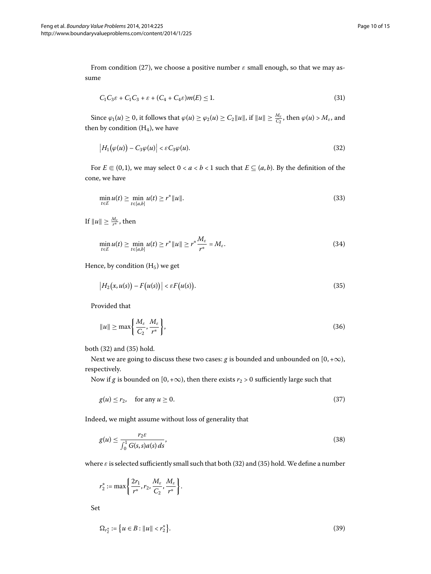From condition [\(](#page-8-0)27), we choose a positive number  $\varepsilon$  small enough, so that we may assume

<span id="page-9-0"></span>
$$
C_1C_3\varepsilon + C_1C_3 + \varepsilon + (C_4 + C_4\varepsilon)m(E) \le 1.
$$
\n(31)

Since  $\varphi_1(u) \ge 0$ , it follows that  $\varphi(u) \ge \varphi_2(u) \ge C_2 ||u||$ , if  $||u|| \ge \frac{M_{\varepsilon}}{C_2}$ , then  $\varphi(u) > M_{\varepsilon}$ , and then by condition  $(H_4)$ , we have

$$
\left|H_1(\varphi(u)) - C_3 \varphi(u)\right| < \varepsilon C_3 \varphi(u). \tag{32}
$$

For  $E \subseteq (0,1)$ , we may select  $0 < a < b < 1$  such that  $E \subseteq (a,b)$ . By the definition of the cone, we have

$$
\min_{t \in E} u(t) \ge \min_{t \in [a,b]} u(t) \ge r^* ||u||. \tag{33}
$$

If  $\|u\| \geq \frac{M_{\varepsilon}}{r^*}$ , then

<span id="page-9-1"></span>
$$
\min_{t\in E} u(t) \geq \min_{t\in[a,b]} u(t) \geq r^* \|u\| \geq r^* \frac{M_{\varepsilon}}{r^*} = M_{\varepsilon}.
$$
\n(34)

Hence, by condition  $(H<sub>5</sub>)$  we get

$$
\big|H_2(x,u(s))-F(u(s))\big|<\varepsilon F(u(s)).\tag{35}
$$

Provided that

$$
||u|| \ge \max\left\{\frac{M_{\varepsilon}}{C_2}, \frac{M_{\varepsilon}}{r^*}\right\},\tag{36}
$$

both  $(32)$  $(32)$  and  $(35)$  hold.

Next we are going to discuss these two cases: *g* is bounded and unbounded on  $[0, +\infty)$ , respectively.

Now if *g* is bounded on [0, + $\infty$ ), then there exists *r*<sub>2</sub> > 0 sufficiently large such that

$$
g(u) \le r_2, \quad \text{for any } u \ge 0. \tag{37}
$$

Indeed, we might assume without loss of generality that

$$
g(u) \le \frac{r_2 \varepsilon}{\int_0^1 G(s, s) a(s) ds},\tag{38}
$$

where  $\varepsilon$  is selected sufficiently small such that both (32[\)](#page-9-1) and (35) hold. We define a number

 $r_2^* := \max\left\{\frac{2r_1}{r^*}, r_2, \frac{M_{\varepsilon}}{C_2}\right\}$  $\frac{M_{\varepsilon}}{C_2}, \frac{M_{\varepsilon}}{r^*}$ *r*∗  $\Big\}$ 

Set

$$
\Omega_{r_2^*} := \{ u \in B : ||u|| < r_2^* \}. \tag{39}
$$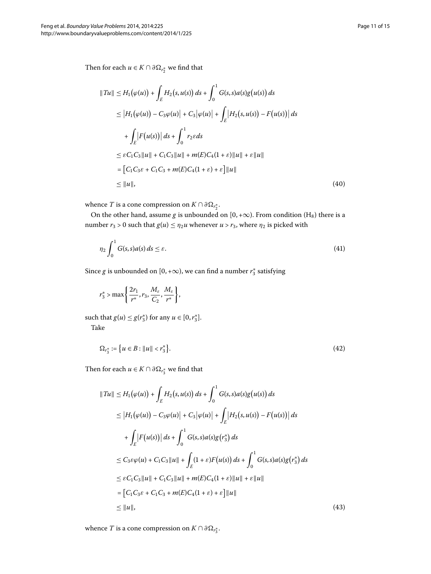Then for each  $u \in K \cap \partial \Omega_{r^*_2}$  we find that

$$
||Tu|| \le H_1(\varphi(u)) + \int_E H_2(s, u(s)) ds + \int_0^1 G(s, s) a(s) g(u(s)) ds
$$
  
\n
$$
\le |H_1(\varphi(u)) - C_3 \varphi(u)| + C_3 |\varphi(u)| + \int_E |H_2(s, u(s)) - F(u(s))| ds
$$
  
\n
$$
+ \int_E |F(u(s))| ds + \int_0^1 r_2 \varepsilon ds
$$
  
\n
$$
\le \varepsilon C_1 C_3 ||u|| + C_1 C_3 ||u|| + m(E) C_4 (1 + \varepsilon) ||u|| + \varepsilon ||u||
$$
  
\n
$$
= [C_1 C_3 \varepsilon + C_1 C_3 + m(E) C_4 (1 + \varepsilon) + \varepsilon] ||u||
$$
  
\n
$$
\le ||u||,
$$
\n(40)

whence  $T$  is a cone compression on  $K \cap \partial \Omega_{r^*_2}.$ 

On the other hand, assume *g* is unbounded on  $[0, +\infty)$ . From condition (H<sub>8</sub>) there is a number  $r_3 > 0$  such that  $g(u) \le \eta_2 u$  whenever  $u > r_3$ , where  $\eta_2$  is picked with

$$
\eta_2 \int_0^1 G(s, s) a(s) ds \le \varepsilon. \tag{41}
$$

Since g is unbounded on  $[0, +\infty)$ , we can find a number  $r_3^*$  satisfying

$$
r_3^* > \max\left\{\frac{2r_1}{r^*}, r_3, \frac{M_{\varepsilon}}{C_2}, \frac{M_{\varepsilon}}{r^*}\right\},\,
$$

such that  $g(u) \leq g(r_3^*)$  for any  $u \in [0, r_3^*]$ .

Take

$$
\Omega_{r_3^*} := \{ u \in B : ||u|| < r_3^* \}. \tag{42}
$$

Then for each  $u \in K \cap \partial \Omega_{r_3^*}$  we find that

$$
||Tu|| \leq H_1(\varphi(u)) + \int_E H_2(s, u(s)) ds + \int_0^1 G(s, s) a(s) g(u(s)) ds
$$
  
\n
$$
\leq |H_1(\varphi(u)) - C_3 \varphi(u)| + C_3 |\varphi(u)| + \int_E |H_2(s, u(s)) - F(u(s))| ds
$$
  
\n
$$
+ \int_E |F(u(s))| ds + \int_0^1 G(s, s) a(s) g(r_3^*) ds
$$
  
\n
$$
\leq C_3 \varepsilon \varphi(u) + C_1 C_3 ||u|| + \int_E (1 + \varepsilon) F(u(s)) ds + \int_0^1 G(s, s) a(s) g(r_3^*) ds
$$
  
\n
$$
\leq \varepsilon C_1 C_3 ||u|| + C_1 C_3 ||u|| + m(E) C_4 (1 + \varepsilon) ||u|| + \varepsilon ||u||
$$
  
\n
$$
= [C_1 C_3 \varepsilon + C_1 C_3 + m(E) C_4 (1 + \varepsilon) + \varepsilon] ||u||
$$
  
\n
$$
\leq ||u||,
$$
\n(43)

whence  $T$  is a cone compression on  $K \cap \partial \Omega_{r_3^*}.$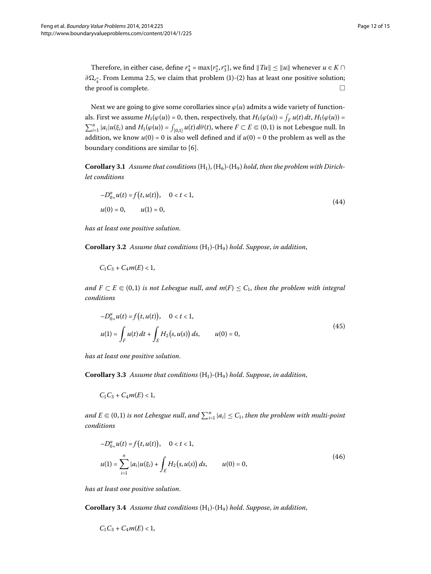Therefore, in either case, define  $r_4^* = \max\{r_2^*, r_3^*\}$ , we find  $||Tu|| \le ||u||$  whenever  $u \in K \cap$ ∂Ω<sub>r $_4$ </sub>. From Lemma 2.5, we claim that problem [\(](#page-0-3)1)-(2) has at least one positive solution; the proof is complete.

Next we are going to give some corollaries since  $\varphi(u)$  admits a wide variety of functionals. First we assume  $H_1(\varphi(u)) = 0$ , then, respectively, that  $H_1(\varphi(u)) = \int_F u(t) dt$ ,  $H_1(\varphi(u)) =$  $\sum_{i=1}^{n} |a_i| u(\xi_i)$  and  $H_1(\varphi(u)) = \int_{[0,1]} u(t) d\theta(t)$ , where  $F \subset E \Subset (0,1)$  is not Lebesgue null. In addition, we know  $u(0) = 0$  is also well defined and if  $u(0) = 0$  the problem as well as the boundary conditions are similar to  $[6]$  $[6]$ .

Corollary 3.1 Assume that conditions (H<sub>1</sub>), (H<sub>6</sub>)-(H<sub>9</sub>) hold, then the problem with Dirich*let conditions*

$$
-D_{0+}^{\alpha}u(t) = f(t, u(t)), \quad 0 < t < 1,
$$
  

$$
u(0) = 0, \qquad u(1) = 0,
$$
 (44)

*has at least one positive solution*.

**Corollary .** *Assume that conditions* (H)*-*(H) *hold*. *Suppose*, *in addition*,

 $C_1C_3 + C_4m(E) < 1$ 

*and F* ⊂ *E*  $\in$  (0,1) *is not Lebesgue null, and m*(*F*) ≤  $C_1$ *, then the problem with integral conditions*

$$
-D_{0+}^{\alpha}u(t) = f(t, u(t)), \quad 0 < t < 1,
$$
  

$$
u(1) = \int_{F} u(t) dt + \int_{E} H_2(s, u(s)) ds, \qquad u(0) = 0,
$$
 (45)

*has at least one positive solution*.

**Corollary .** *Assume that conditions* (H)*-*(H) *hold*. *Suppose*, *in addition*,

 $C_1C_3 + C_4m(E) < 1$ ,

and  $E \Subset (0,1)$  is not Lebesgue null, and  $\sum_{i=1}^n |a_i| \leq C_1$ , then the problem with multi-point *conditions*

$$
-D_{0+}^{\alpha}u(t) = f(t, u(t)), \quad 0 < t < 1,
$$
  

$$
u(1) = \sum_{i=1}^{n} |a_i|u(\xi_i) + \int_E H_2(s, u(s)) ds, \qquad u(0) = 0,
$$
 (46)

*has at least one positive solution*.

**Corollary .** *Assume that conditions* (H)*-*(H) *hold*. *Suppose*, *in addition*,

 $C_1C_3 + C_4m(E) < 1$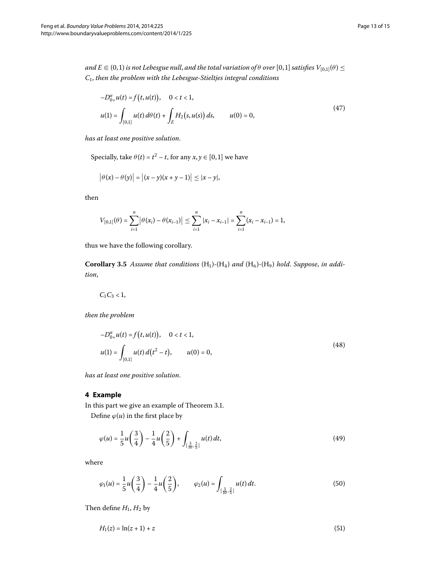$and$   $E \Subset (0,1)$  is not Lebesgue null, and the total variation of  $\theta$  over  $[0,1]$  satisfies  $V_{[0,1]}(\theta)$   $\leq$ *C*, *then the problem with the Lebesgue-Stieltjes integral conditions*

$$
-D_{0+}^{\alpha}u(t) = f(t, u(t)), \quad 0 < t < 1,
$$
  

$$
u(1) = \int_{[0,1]} u(t) d\theta(t) + \int_{E} H_2(s, u(s)) ds, \qquad u(0) = 0,
$$
 (47)

*has at least one positive solution*.

Specially, take  $\theta(t) = t^2 - t$ , for any  $x, y \in [0, 1]$  we have

$$
|\theta(x) - \theta(y)| = |(x - y)(x + y - 1)| \le |x - y|,
$$

then

$$
V_{[0,1]}(\theta) = \sum_{i=1}^n |\theta(x_i) - \theta(x_{i-1})| \leq \sum_{i=1}^n |x_i - x_{i-1}| = \sum_{i=1}^n (x_i - x_{i-1}) = 1,
$$

thus we have the following corollary.

Corollary 3.5 Assume that conditions  $(H_1)$ - $(H_4)$  and  $(H_6)$ - $(H_9)$  hold. Suppose, in addi*tion*,

$$
C_1C_3<1,
$$

*then the problem*

$$
-D_{0+}^{\alpha}u(t) = f(t, u(t)), \quad 0 < t < 1,
$$
  

$$
u(1) = \int_{[0,1]} u(t) d(t^2 - t), \qquad u(0) = 0,
$$
 (48)

*has at least one positive solution*.

## **4 Example**

In this part we give an example of Theorem 3.1. Define  $\varphi(u)$  in the first place by

$$
\varphi(u) = \frac{1}{5}u\left(\frac{3}{4}\right) - \frac{1}{4}u\left(\frac{2}{5}\right) + \int_{\left[\frac{3}{10}, \frac{2}{5}\right]} u(t) dt,
$$
\n(49)

where

$$
\varphi_1(u) = \frac{1}{5}u\left(\frac{3}{4}\right) - \frac{1}{4}u\left(\frac{2}{5}\right), \qquad \varphi_2(u) = \int_{\left[\frac{3}{10}, \frac{2}{5}\right]} u(t) dt.
$$
\n(50)

Then define  $H_1$ ,  $H_2$  by

$$
H_1(z) = \ln(z+1) + z \tag{51}
$$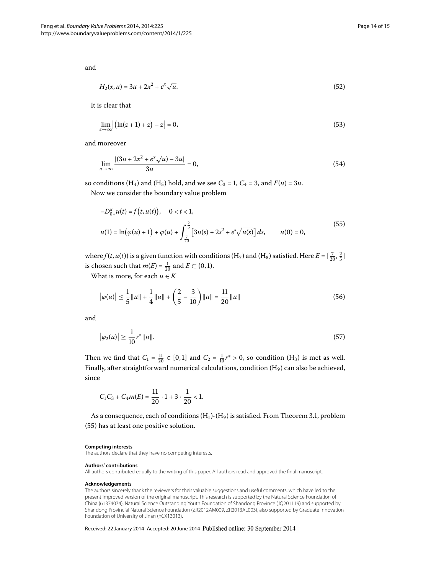and

$$
H_2(x, u) = 3u + 2x^2 + e^x \sqrt{u}.
$$
\n(52)

It is clear that

$$
\lim_{z \to \infty} \left| \left( \ln(z+1) + z \right) - z \right| = 0,\tag{53}
$$

and moreover

<span id="page-13-0"></span>
$$
\lim_{u \to \infty} \frac{|(3u + 2x^2 + e^x \sqrt{u}) - 3u|}{3u} = 0,
$$
\n(54)

so conditions (H<sub>4</sub>) and (H<sub>5</sub>) hold, and we see  $C_3 = 1$ ,  $C_4 = 3$ , and  $F(u) = 3u$ . Now we consider the boundary value problem

$$
-D_{0+}^{\alpha}u(t) = f(t, u(t)), \quad 0 < t < 1,
$$
  

$$
u(1) = \ln(\varphi(u) + 1) + \varphi(u) + \int_{\frac{7}{20}}^{\frac{2}{5}} [3u(s) + 2s^2 + e^s \sqrt{u(s)}] ds, \qquad u(0) = 0,
$$
 (55)

where  $f(t, u(t))$  is a given function with conditions (H<sub>7</sub>) and (H<sub>8</sub>) satisfied. Here  $E = [\frac{7}{20}, \frac{2}{5}]$ is chosen such that  $m(E) = \frac{1}{20}$  and  $E \subset (0, 1)$ .

What is more, for each  $u \in K$ 

$$
\left|\varphi(u)\right| \le \frac{1}{5} \|u\| + \frac{1}{4} \|u\| + \left(\frac{2}{5} - \frac{3}{10}\right) \|u\| = \frac{11}{20} \|u\|
$$
\n(56)

and

$$
\left|\varphi_2(u)\right| \ge \frac{1}{10} r^* \|u\|. \tag{57}
$$

Then we find that  $C_1 = \frac{11}{20} \in [0, 1]$  and  $C_2 = \frac{1}{10}r^* > 0$ , so condition (H<sub>3</sub>) is met as well. Finally, after straightforward numerical calculations, condition  $(H<sub>9</sub>)$  can also be achieved, since

$$
C_1C_3 + C_4m(E) = \frac{11}{20} \cdot 1 + 3 \cdot \frac{1}{20} < 1.
$$

As a consequence, each of conditions  $(H_1)$ - $(H_9)$  is satisfied. From Theorem 3.1, problem (55[\)](#page-13-0) has at least one positive solution.

#### **Competing interests**

The authors declare that they have no competing interests.

#### **Authors' contributions**

All authors contributed equally to the writing of this paper. All authors read and approved the final manuscript.

#### **Acknowledgements**

The authors sincerely thank the reviewers for their valuable suggestions and useful comments, which have led to the present improved version of the original manuscript. This research is supported by the Natural Science Foundation of China (61374074), Natural Science Outstanding Youth Foundation of Shandong Province (JQ201119) and supported by Shandong Provincial Natural Science Foundation (ZR2012AM009, ZR2013AL003), also supported by Graduate Innovation Foundation of University of Jinan (YCX13013).

Received: 22 January 2014 Accepted: 20 June 2014 Published online: 30 September 2014